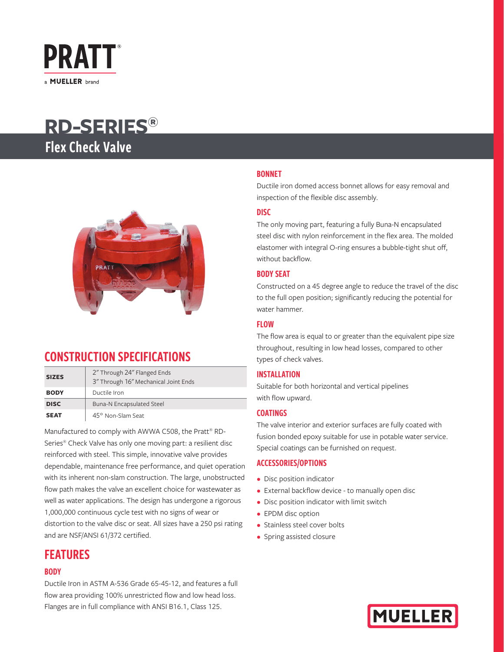

# **RD-SERIES®**  Flex Check Valve



## CONSTRUCTION SPECIFICATIONS

| <b>SIZES</b> | 2" Through 24" Flanged Ends<br>3" Through 16" Mechanical Joint Ends |
|--------------|---------------------------------------------------------------------|
| <b>BODY</b>  | Ductile Iron                                                        |
| <b>DISC</b>  | Buna-N Encapsulated Steel                                           |
| <b>SEAT</b>  | 45° Non-Slam Seat                                                   |

Manufactured to comply with AWWA C508, the Pratt® RD-Series® Check Valve has only one moving part: a resilient disc reinforced with steel. This simple, innovative valve provides dependable, maintenance free performance, and quiet operation with its inherent non-slam construction. The large, unobstructed flow path makes the valve an excellent choice for wastewater as well as water applications. The design has undergone a rigorous 1,000,000 continuous cycle test with no signs of wear or distortion to the valve disc or seat. All sizes have a 250 psi rating and are NSF/ANSI 61/372 certified.

### FEATURES

### **BODY**

Ductile Iron in ASTM A-536 Grade 65-45-12, and features a full flow area providing 100% unrestricted flow and low head loss. Flanges are in full compliance with ANSI B16.1, Class 125.

### BONNET

Ductile iron domed access bonnet allows for easy removal and inspection of the flexible disc assembly.

### DISC

The only moving part, featuring a fully Buna-N encapsulated steel disc with nylon reinforcement in the flex area. The molded elastomer with integral O-ring ensures a bubble-tight shut off, without backflow.

#### BODY SEAT

Constructed on a 45 degree angle to reduce the travel of the disc to the full open position; significantly reducing the potential for water hammer.

#### FLOW

The flow area is equal to or greater than the equivalent pipe size throughout, resulting in low head losses, compared to other types of check valves.

### INSTALLATION

Suitable for both horizontal and vertical pipelines with flow upward.

#### COATINGS

The valve interior and exterior surfaces are fully coated with fusion bonded epoxy suitable for use in potable water service. Special coatings can be furnished on request.

#### ACCESSORIES/OPTIONS

- Disc position indicator
- External backflow device to manually open disc
- Disc position indicator with limit switch
- EPDM disc option
- Stainless steel cover bolts
- Spring assisted closure

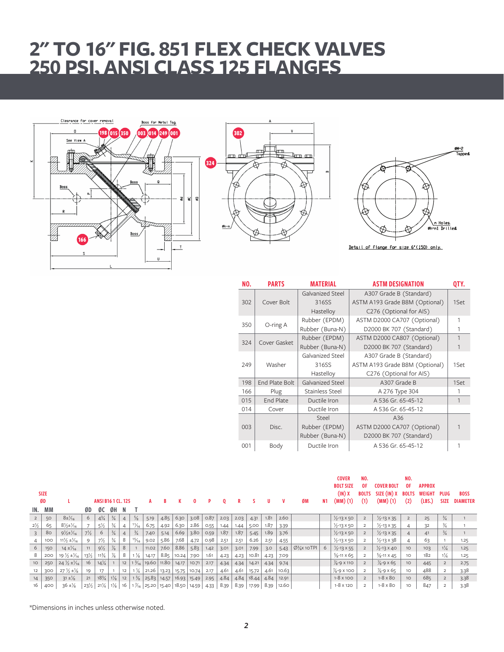# **2" TO 16" FIG. 851 FLEX CHECK VALVES 250 PSI, ANSI CLASS 125 FLANGES**







|     | NO.        | <b>PARTS</b>   | <b>MATERIAL</b>                | <b>ASTM DESIGNATION</b>        | QTY. |
|-----|------------|----------------|--------------------------------|--------------------------------|------|
|     |            |                | Galvanized Steel               | A307 Grade B (Standard)        |      |
| 302 | Cover Bolt | 316SS          | ASTM A193 Grade B8M (Optional) | 1Set                           |      |
|     |            |                | Hastelloy                      | C276 (Optional for AIS)        |      |
|     | 350        | O-ring A       | Rubber (EPDM)                  | ASTM D2000 CA707 (Optional)    | 1    |
|     |            |                | Rubber (Buna-N)                | D2000 BK 707 (Standard)        | 1    |
|     | 324        | Cover Gasket   | Rubber (EPDM)                  | ASTM D2000 CA807 (Optional)    | 1    |
|     |            |                | Rubber (Buna-N)                | D2000 BK 707 (Standard)        | 1    |
|     |            |                | Galvanized Steel               | A307 Grade B (Standard)        |      |
|     | 249        | Washer         | 316SS                          | ASTM A193 Grade B8M (Optional) | 1Set |
|     |            |                | Hastelloy                      | C276 (Optional for AIS)        |      |
|     | 198        | End Plate Bolt | Galvanized Steel               | A307 Grade B                   | 1Set |
|     | 166        | Plug           | Stainless Steel                | A 276 Type 304                 | 1    |
|     | 015        | End Plate      | Ductile Iron                   | A 536 Gr. 65-45-12             | 1    |
|     | 014        | Cover          | Ductile Iron                   | A 536 Gr. 65-45-12             |      |
|     |            |                | Steel                          | A36                            |      |
|     | 003        | Disc.          | Rubber (EPDM)                  | ASTM D2000 CA707 (Optional)    |      |
|     |            |                | Rubber (Buna-N)                | D2000 BK 707 (Standard)        |      |
|     | 001        | Body           | Ductile Iron                   | A 536 Gr. 65-45-12             |      |

|                 |                   |                                   |                 |                           |                |                |                 |                                         |       |                |       |      |      |      |       |      |       |                                                 |    | <b>COVER</b><br><b>BOLT SIZE</b> | NO.<br>0F.          | <b>COVER BOLT</b>           | NO.<br>0F           | <b>APPROX</b>    |                            |                                |
|-----------------|-------------------|-----------------------------------|-----------------|---------------------------|----------------|----------------|-----------------|-----------------------------------------|-------|----------------|-------|------|------|------|-------|------|-------|-------------------------------------------------|----|----------------------------------|---------------------|-----------------------------|---------------------|------------------|----------------------------|--------------------------------|
|                 | <b>SIZE</b><br>ØD |                                   |                 | <b>ANSI B16 1 CL, 125</b> |                |                |                 |                                         |       |                | 0     | P.   | 0    | R    |       | u    |       | ØM                                              | N1 | (IN)X<br>$(MM)$ (1)              | <b>BOLTS</b><br>(1) | SIZE (IN) X<br>(MM) (1)     | <b>BOLTS</b><br>(2) | WEIGHT<br>(LBS.) | <b>PLUG</b><br><b>SIZE</b> | <b>BOSS</b><br><b>DIAMETER</b> |
|                 | IN. MM            |                                   | ØD.             | ØC                        | ØH             | - N            |                 |                                         |       |                |       |      |      |      |       |      |       |                                                 |    |                                  |                     |                             |                     |                  |                            |                                |
| $\overline{2}$  | 50                | $8\pm\frac{1}{16}$                | 6               | $4\frac{3}{4}$            | $\frac{3}{4}$  | $\overline{4}$ | $\frac{5}{8}$   | 5.19                                    | 4.85  | 6.30           | 3.08  | 0.87 | 2.03 | 2.03 | 4.31  | 1.81 | 2.60  |                                                 |    | $\frac{1}{2}$ -13 x 50           | $\overline{2}$      | $\frac{1}{2}$ -13 × 35      |                     | 25               | $\frac{3}{4}$              |                                |
| $2\frac{1}{2}$  | 65                | $8\frac{1}{2}\pm\frac{1}{16}$     |                 | $5\frac{1}{2}$            | $\frac{3}{4}$  | $\overline{4}$ | '¼∘             | 6.75                                    | 4.92  | 6.30           | 2.86  | 0.55 | 1.44 | 1.44 | 5.00  | 1.87 | 3.39  |                                                 |    | $\frac{1}{2}$ -13 x 50           | $\overline{2}$      | $\frac{1}{2}$ -13 × 35      |                     | 32               | $\frac{3}{4}$              |                                |
| $\overline{3}$  | 80                | $9\frac{1}{2}$ $\pm\frac{1}{16}$  | $7\frac{1}{2}$  | 6                         | $\frac{3}{4}$  |                | $\frac{3}{4}$   | 7.40                                    | 5.14  | 6.69           | 3.80  | 0.59 | 1.87 | 1.87 | 5.45  | 1.89 | 3.76  |                                                 |    | $\frac{1}{2}$ -13 x 50           | 2                   | $\frac{1}{2}$ -13 × 35      |                     | 41               | $\frac{3}{4}$              |                                |
| $\overline{4}$  | 100               | $11\frac{1}{2} \pm \frac{1}{16}$  | 9               | $7\frac{1}{2}$            | $\frac{3}{4}$  | 8              | $\frac{15}{16}$ | 9.02                                    | 5.86  | 7.68           | 4.72  | 0.98 | 2.51 | 2.51 | 6.26  | 2.51 | 4.55  |                                                 |    | $\frac{1}{2}$ -13 x 50           | $\overline{2}$      | $\frac{1}{2}$ -13 x 38      |                     | 63               |                            | 1.25                           |
| 6               | 150               | $14 \pm \frac{1}{16}$             | 11              | $9\frac{1}{2}$            | $\frac{7}{8}$  | 8              |                 | 11.02                                   | 7.60  | 8.86           | 5.83  | 1.42 | 3.01 | 3.01 | 7.99  | 3.0  | 5.43  | $\emptyset$ <sup>3</sup> / <sub>4</sub> x 10TPI |    | $\frac{1}{2}$ -13 × 55           | $\overline{2}$      | $\frac{1}{2}$ -13 × 40      | 10                  | 103              | $1\frac{1}{4}$             | 1.25                           |
| 8               | 200               | $19\frac{1}{2}$ $\pm\frac{1}{16}$ | $13\frac{1}{2}$ | $11\frac{3}{4}$           | ℅              | 8              | $1\frac{1}{8}$  | 14.17                                   |       | $8.85$   10.24 | 7.90  | 1.61 | 4.23 | 4.23 | 10.81 | 4.23 | 7.09  |                                                 |    | $\frac{5}{6}$ -11 X 65           | $\overline{2}$      | $\frac{5}{8}$ -11 X 45      | 10                  | 182              | $1\frac{1}{4}$             | 1.25                           |
| 10 <sup>°</sup> | 250               | $24\frac{1}{2}$ ± $\frac{1}{16}$  | 16              | $14\frac{1}{4}$           |                | 12             | $1\frac{3}{16}$ | 19.60 11.80 14.17                       |       |                | 10.71 | 2.17 | 4.34 | 4.34 | 14.21 | 4.34 | 9.74  |                                                 |    | $\frac{7}{8}$ -9 X 110           | $\overline{2}$      | $\frac{7}{8} - 9 \times 65$ | 10                  | 445              | $\overline{2}$             | 2.75                           |
| 12              | 300               | $27\frac{1}{2}$ ± $\frac{1}{8}$   | 19              | 17                        |                | 12             | 1 $\frac{1}{4}$ | 21.26                                   | 13.23 | 15.75          | 10.74 | 2.17 | 4.61 | 4.61 | 15.72 | 4.61 | 10.63 |                                                 |    | $\frac{7}{8}$ -9 X 100           | $\overline{2}$      | $\frac{7}{8} - 9 \times 65$ | 10                  | 488              |                            | 3.38                           |
| 14              | 350               | $31 \pm \frac{1}{8}$              | 21              | $18\frac{3}{4}$           | $1\frac{1}{8}$ | 12             | $1\frac{3}{8}$  | $25.83$ 14.57                           |       | 16.93   15.49  |       | 2.95 | 4.84 | 4.84 | 18.44 | 4.84 | 12.91 |                                                 |    | $1 - 8 \times 100$               | $\overline{2}$      | $1-8 \times 80$             | 10 <sup>°</sup>     | 685              |                            | 3.38                           |
| 16              | 400               | $36 \pm \frac{1}{8}$              | $23\frac{1}{2}$ | $21\frac{1}{4}$           | $1\frac{1}{8}$ | -16            |                 | $1\frac{7}{16}$ 25.20 15.40 18.50 14.59 |       |                |       | 4.33 | 8.39 | 8.39 | 17.99 | 8.39 | 12.60 |                                                 |    | $1 - 8 \times 120$               | $\overline{2}$      | $1-8 \times 80$             | 10                  | 847              |                            | 3.38                           |

\*Dimensions in inches unless otherwise noted.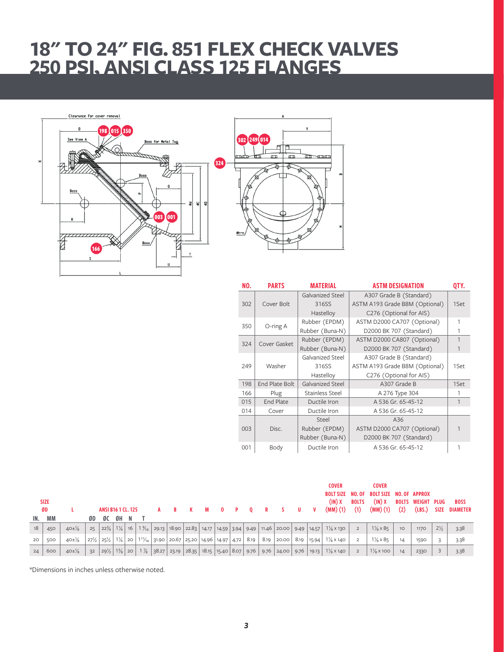# **18" TO 24" FIG. 851 FLEX CHECK VALVES 250 PSI, ANSI CLASS 125 FLANGES**





| NO. | <b>PARTS</b>     | <b>MATERIAL</b>  | <b>ASTM DESIGNATION</b>        | QTY. |  |  |  |  |  |
|-----|------------------|------------------|--------------------------------|------|--|--|--|--|--|
|     |                  | Galvanized Steel | A307 Grade B (Standard)        |      |  |  |  |  |  |
| 302 | Cover Bolt       | 316SS            | ASTM A193 Grade B8M (Optional) |      |  |  |  |  |  |
|     |                  | Hastelloy        | C276 (Optional for AIS)        |      |  |  |  |  |  |
| 350 | O-ring A         | Rubber (EPDM)    | ASTM D2000 CA707 (Optional)    | 1    |  |  |  |  |  |
|     |                  | Rubber (Buna-N)  | D2000 BK 707 (Standard)        |      |  |  |  |  |  |
| 324 | Cover Gasket     | Rubber (EPDM)    | ASTM D2000 CA807 (Optional)    | 1    |  |  |  |  |  |
|     |                  | Rubber (Buna-N)  | D2000 BK 707 (Standard)        |      |  |  |  |  |  |
|     |                  | Galvanized Steel | A307 Grade B (Standard)        |      |  |  |  |  |  |
| 249 | Washer           | 316SS            | ASTM A193 Grade B8M (Optional) | 1Set |  |  |  |  |  |
|     |                  | Hastelloy        | C276 (Optional for AIS)        |      |  |  |  |  |  |
| 198 | End Plate Bolt   | Galvanized Steel | A307 Grade B                   | 1Set |  |  |  |  |  |
| 166 | Plug             | Stainless Steel  | A 276 Type 304                 | 1    |  |  |  |  |  |
| 015 | <b>End Plate</b> | Ductile Iron     | A 536 Gr. 65-45-12             | 1    |  |  |  |  |  |
| 014 | Cover            | Ductile Iron     | A 536 Gr. 65-45-12             |      |  |  |  |  |  |
|     |                  | Steel            | A36                            |      |  |  |  |  |  |
| 003 | Disc.            | Rubber (EPDM)    | ASTM D2000 CA707 (Optional)    |      |  |  |  |  |  |
|     |                  | Rubber (Buna-N)  | D2000 BK 707 (Standard)        |      |  |  |  |  |  |
| 001 | Body             | Ductile Iron     | A 536 Gr. 65-45-12             | 1    |  |  |  |  |  |

|     | <b>SIZE</b><br>ØD |                      |                 | <b>ANSI B16 1 CL. 125</b>      |    |  | в. | <b>M</b> | $\mathbf{0}$ | $\mathbf{P}$ | $\bf{0}$ | R | <b>S</b>                                                                           | U | $\mathbf{v}$ | COVER<br>(1N)X<br>$(MM)(1)$ (1) $(MM)(1)$                                                                                                                                                                                               | <b>BOLTS</b>   | <b>COVER</b><br><b>BOLT SIZE NO. OF BOLT SIZE NO. OF APPROX</b><br>(IN)X | (2) | <b>BOLTS WEIGHT PLUG</b> |                | <b>BOSS</b><br>(LBS.) SIZE DIAMETER |
|-----|-------------------|----------------------|-----------------|--------------------------------|----|--|----|----------|--------------|--------------|----------|---|------------------------------------------------------------------------------------|---|--------------|-----------------------------------------------------------------------------------------------------------------------------------------------------------------------------------------------------------------------------------------|----------------|--------------------------------------------------------------------------|-----|--------------------------|----------------|-------------------------------------|
| IN. | МM                |                      | ØD.             | ØC ØH N                        |    |  |    |          |              |              |          |   |                                                                                    |   |              |                                                                                                                                                                                                                                         |                |                                                                          |     |                          |                |                                     |
| 18  | 450               | $40 \pm \frac{1}{8}$ | 25              | $ 22\frac{3}{4} 1\frac{1}{4} $ | 16 |  |    |          |              |              |          |   | $1\frac{9}{16}$ 29.13 18.90 22.83 14.17 14.59 3.94 9.49 11.46 20.00 9.49 14.57     |   |              | $1\frac{1}{8}$ x 130                                                                                                                                                                                                                    | 2              | $1\frac{1}{8} \times 85$                                                 | 10  | 1170                     | $2\frac{1}{2}$ | 3.38                                |
| 20  | 500               | $40\pm\frac{1}{8}$   | $27\frac{1}{2}$ | $25\frac{1}{2}$                |    |  |    |          |              |              |          |   | 1¼   20   11¼   31.90   20.67   25.20   14.96   14.97   4.72   8.19   8.19   20.00 |   |              | 8.19   15.94   $1\frac{1}{8}$ x 140                                                                                                                                                                                                     | $\overline{2}$ | $1\frac{1}{8} \times 85$                                                 | 14  | 1590                     |                | 3.38                                |
| 24  | 600               | $40\pm\frac{1}{8}$   | 32              |                                |    |  |    |          |              |              |          |   |                                                                                    |   |              | $\mid$ 29)/ $\mid$ 13/ <sub>8</sub> $\mid$ 20 $\mid$ 1 $\frac{7}{8}$ $\mid$ 38.27 $\mid$ 23.19 $\mid$ 28.35 $\mid$ 18.15 $\mid$ 15.40 $\mid$ 8.07 $\mid$ 9.76 $\mid$ 9.76 $\mid$ 24.00 $\mid$ 9.76 $\mid$ 19.13 $\mid$ 1)/ $\mid$ x 140 | $\overline{2}$ | $1\frac{1}{8}$ x 100                                                     | 14  | 2330                     |                | 3.38                                |

\*Dimensions in inches unless otherwise noted.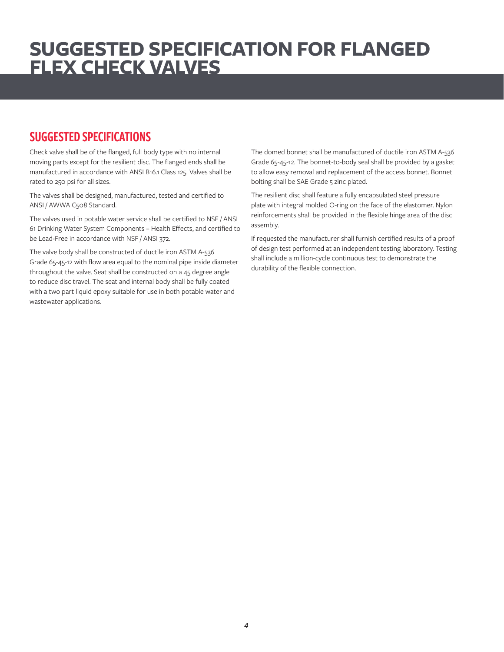## **SUGGESTED SPECIFICATION FOR FLANGED FLEX CHECK VALVES**

## SUGGESTED SPECIFICATIONS

Check valve shall be of the flanged, full body type with no internal moving parts except for the resilient disc. The flanged ends shall be manufactured in accordance with ANSI B16.1 Class 125. Valves shall be rated to 250 psi for all sizes.

The valves shall be designed, manufactured, tested and certified to ANSI / AWWA C508 Standard.

The valves used in potable water service shall be certified to NSF / ANSI 61 Drinking Water System Components – Health Effects, and certified to be Lead-Free in accordance with NSF / ANSI 372.

The valve body shall be constructed of ductile iron ASTM A-536 Grade 65-45-12 with flow area equal to the nominal pipe inside diameter throughout the valve. Seat shall be constructed on a 45 degree angle to reduce disc travel. The seat and internal body shall be fully coated with a two part liquid epoxy suitable for use in both potable water and wastewater applications.

The domed bonnet shall be manufactured of ductile iron ASTM A-536 Grade 65-45-12. The bonnet-to-body seal shall be provided by a gasket to allow easy removal and replacement of the access bonnet. Bonnet bolting shall be SAE Grade 5 zinc plated.

The resilient disc shall feature a fully encapsulated steel pressure plate with integral molded O-ring on the face of the elastomer. Nylon reinforcements shall be provided in the flexible hinge area of the disc assembly.

If requested the manufacturer shall furnish certified results of a proof of design test performed at an independent testing laboratory. Testing shall include a million-cycle continuous test to demonstrate the durability of the flexible connection.